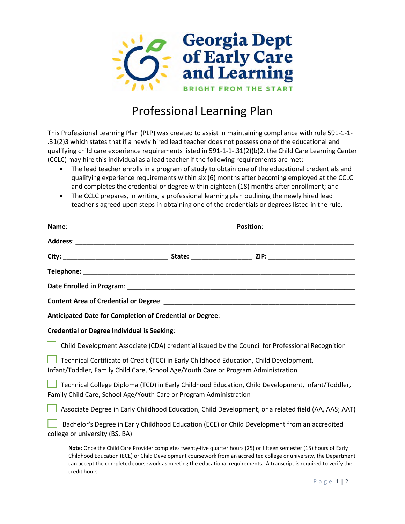

## Professional Learning Plan

This Professional Learning Plan (PLP) was created to assist in maintaining compliance with rule 591-1-1- .31(2)3 which states that if a newly hired lead teacher does not possess one of the educational and qualifying child care experience requirements listed in 591-1-1-.31(2)(b)2, the Child Care Learning Center (CCLC) may hire this individual as a lead teacher if the following requirements are met:

- The lead teacher enrolls in a program of study to obtain one of the educational credentials and qualifying experience requirements within six (6) months after becoming employed at the CCLC and completes the credential or degree within eighteen (18) months after enrollment; and
- The CCLC prepares, in writing, a professional learning plan outlining the newly hired lead teacher's agreed upon steps in obtaining one of the credentials or degrees listed in the rule.

| <b>Credential or Degree Individual is Seeking:</b>                                                                                                                           |                                                                                                                                                                                                                                           |
|------------------------------------------------------------------------------------------------------------------------------------------------------------------------------|-------------------------------------------------------------------------------------------------------------------------------------------------------------------------------------------------------------------------------------------|
| Child Development Associate (CDA) credential issued by the Council for Professional Recognition                                                                              |                                                                                                                                                                                                                                           |
| Technical Certificate of Credit (TCC) in Early Childhood Education, Child Development,<br>Infant/Toddler, Family Child Care, School Age/Youth Care or Program Administration |                                                                                                                                                                                                                                           |
| Technical College Diploma (TCD) in Early Childhood Education, Child Development, Infant/Toddler,<br>Family Child Care, School Age/Youth Care or Program Administration       |                                                                                                                                                                                                                                           |
| Associate Degree in Early Childhood Education, Child Development, or a related field (AA, AAS; AAT)                                                                          |                                                                                                                                                                                                                                           |
| Bachelor's Degree in Early Childhood Education (ECE) or Child Development from an accredited<br>college or university (BS, BA)                                               |                                                                                                                                                                                                                                           |
| Note: Once the Child Care Provider completes twenty-five quarter hours (25) or fifteen semester (15) hours of Early<br>credit hours.                                         | Childhood Education (ECE) or Child Development coursework from an accredited college or university, the Department<br>can accept the completed coursework as meeting the educational requirements. A transcript is required to verify the |